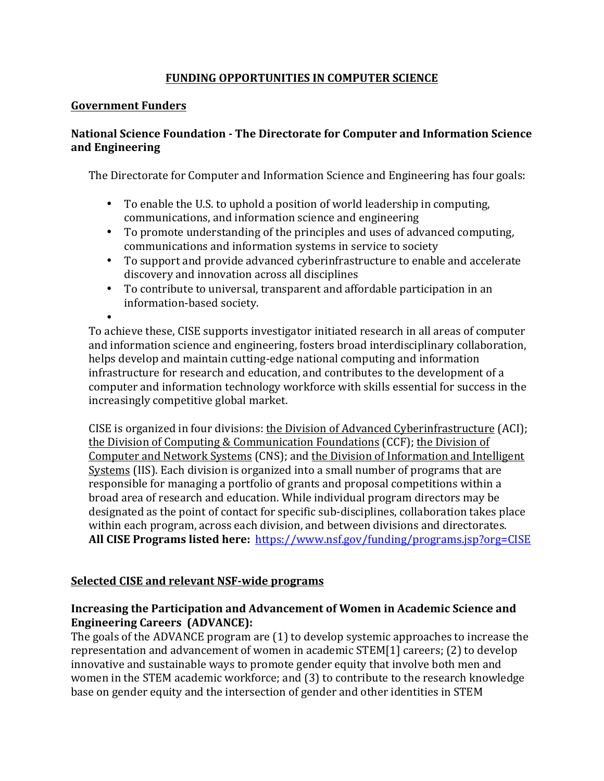## **FUNDING OPPORTUNITIES IN COMPUTER SCIENCE**

## **Government Funders**

# National Science Foundation - The Directorate for Computer and Information Science **and Engineering**

The Directorate for Computer and Information Science and Engineering has four goals:

- To enable the U.S. to uphold a position of world leadership in computing, communications, and information science and engineering
- To promote understanding of the principles and uses of advanced computing, communications and information systems in service to society
- To support and provide advanced cyberinfrastructure to enable and accelerate discovery and innovation across all disciplines
- To contribute to universal, transparent and affordable participation in an information-based society.

• To achieve these, CISE supports investigator initiated research in all areas of computer and information science and engineering, fosters broad interdisciplinary collaboration, helps develop and maintain cutting-edge national computing and information infrastructure for research and education, and contributes to the development of a computer and information technology workforce with skills essential for success in the increasingly competitive global market.

CISE is organized in four divisions: the Division of Advanced Cyberinfrastructure (ACI); the Division of Computing & Communication Foundations (CCF); the Division of Computer and Network Systems (CNS); and the Division of Information and Intelligent Systems (IIS). Each division is organized into a small number of programs that are responsible for managing a portfolio of grants and proposal competitions within a broad area of research and education. While individual program directors may be designated as the point of contact for specific sub-disciplines, collaboration takes place within each program, across each division, and between divisions and directorates. **All CISE Programs listed here:** https://www.nsf.gov/funding/programs.jsp?org=CISE

## **<u>Selected CISE and relevant NSF-wide programs</u>**

# **Increasing the Participation and Advancement of Women in Academic Science and Engineering Careers (ADVANCE):**

The goals of the ADVANCE program are  $(1)$  to develop systemic approaches to increase the representation and advancement of women in academic STEM[1] careers; (2) to develop innovative and sustainable ways to promote gender equity that involve both men and women in the STEM academic workforce; and (3) to contribute to the research knowledge base on gender equity and the intersection of gender and other identities in STEM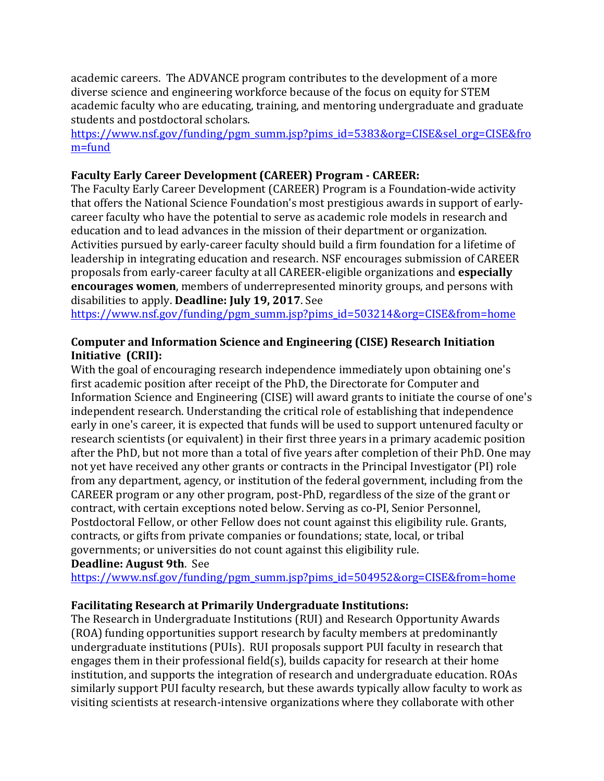academic careers. The ADVANCE program contributes to the development of a more diverse science and engineering workforce because of the focus on equity for STEM academic faculty who are educating, training, and mentoring undergraduate and graduate students and postdoctoral scholars.

https://www.nsf.gov/funding/pgm\_summ.jsp?pims\_id=5383&org=CISE&sel\_org=CISE&fro m=fund

# **Faculty Early Career Development (CAREER) Program - CAREER:**

The Faculty Early Career Development (CAREER) Program is a Foundation-wide activity that offers the National Science Foundation's most prestigious awards in support of earlycareer faculty who have the potential to serve as academic role models in research and education and to lead advances in the mission of their department or organization. Activities pursued by early-career faculty should build a firm foundation for a lifetime of leadership in integrating education and research. NSF encourages submission of CAREER proposals from early-career faculty at all CAREER-eligible organizations and **especially encourages women**, members of underrepresented minority groups, and persons with disabilities to apply. **Deadline: July 19, 2017**. See

https://www.nsf.gov/funding/pgm\_summ.jsp?pims\_id=503214&org=CISE&from=home

# **Computer and Information Science and Engineering (CISE) Research Initiation Initiative (CRII):**

With the goal of encouraging research independence immediately upon obtaining one's first academic position after receipt of the PhD, the Directorate for Computer and Information Science and Engineering (CISE) will award grants to initiate the course of one's independent research. Understanding the critical role of establishing that independence early in one's career, it is expected that funds will be used to support untenured faculty or research scientists (or equivalent) in their first three years in a primary academic position after the PhD, but not more than a total of five years after completion of their PhD. One may not yet have received any other grants or contracts in the Principal Investigator (PI) role from any department, agency, or institution of the federal government, including from the CAREER program or any other program, post-PhD, regardless of the size of the grant or contract, with certain exceptions noted below. Serving as co-PI, Senior Personnel, Postdoctoral Fellow, or other Fellow does not count against this eligibility rule. Grants, contracts, or gifts from private companies or foundations; state, local, or tribal governments; or universities do not count against this eligibility rule. **Deadline: August 9th. See** 

https://www.nsf.gov/funding/pgm\_summ.jsp?pims\_id=504952&org=CISE&from=home

## **Facilitating Research at Primarily Undergraduate Institutions:**

The Research in Undergraduate Institutions (RUI) and Research Opportunity Awards (ROA) funding opportunities support research by faculty members at predominantly undergraduate institutions (PUIs). RUI proposals support PUI faculty in research that engages them in their professional field(s), builds capacity for research at their home institution, and supports the integration of research and undergraduate education. ROAs similarly support PUI faculty research, but these awards typically allow faculty to work as visiting scientists at research-intensive organizations where they collaborate with other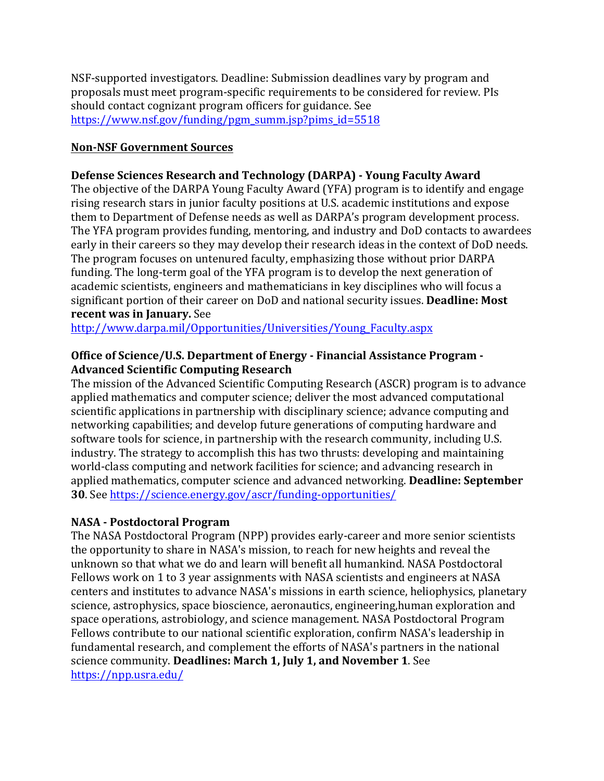NSF-supported investigators. Deadline: Submission deadlines vary by program and proposals must meet program-specific requirements to be considered for review. PIs should contact cognizant program officers for guidance. See https://www.nsf.gov/funding/pgm\_summ.jsp?pims\_id=5518

## **Non-NSF Government Sources**

# Defense Sciences Research and Technology (DARPA) - Young Faculty Award

The objective of the DARPA Young Faculty Award (YFA) program is to identify and engage rising research stars in junior faculty positions at U.S. academic institutions and expose them to Department of Defense needs as well as DARPA's program development process. The YFA program provides funding, mentoring, and industry and DoD contacts to awardees early in their careers so they may develop their research ideas in the context of DoD needs. The program focuses on untenured faculty, emphasizing those without prior DARPA funding. The long-term goal of the YFA program is to develop the next generation of academic scientists, engineers and mathematicians in key disciplines who will focus a significant portion of their career on DoD and national security issues. **Deadline: Most recent was in January.** See

http://www.darpa.mil/Opportunities/Universities/Young\_Faculty.aspx

## Office of Science/U.S. Department of Energy - Financial Assistance Program -**Advanced Scientific Computing Research**

The mission of the Advanced Scientific Computing Research (ASCR) program is to advance applied mathematics and computer science; deliver the most advanced computational scientific applications in partnership with disciplinary science; advance computing and networking capabilities; and develop future generations of computing hardware and software tools for science, in partnership with the research community, including U.S. industry. The strategy to accomplish this has two thrusts: developing and maintaining world-class computing and network facilities for science; and advancing research in applied mathematics, computer science and advanced networking. **Deadline: September 30**. See https://science.energy.gov/ascr/funding-opportunities/

## **NASA - Postdoctoral Program**

The NASA Postdoctoral Program (NPP) provides early-career and more senior scientists the opportunity to share in NASA's mission, to reach for new heights and reveal the unknown so that what we do and learn will benefit all humankind. NASA Postdoctoral Fellows work on 1 to 3 year assignments with NASA scientists and engineers at NASA centers and institutes to advance NASA's missions in earth science, heliophysics, planetary science, astrophysics, space bioscience, aeronautics, engineering,human exploration and space operations, astrobiology, and science management. NASA Postdoctoral Program Fellows contribute to our national scientific exploration, confirm NASA's leadership in fundamental research, and complement the efforts of NASA's partners in the national science community. **Deadlines: March 1, July 1, and November 1**. See https://npp.usra.edu/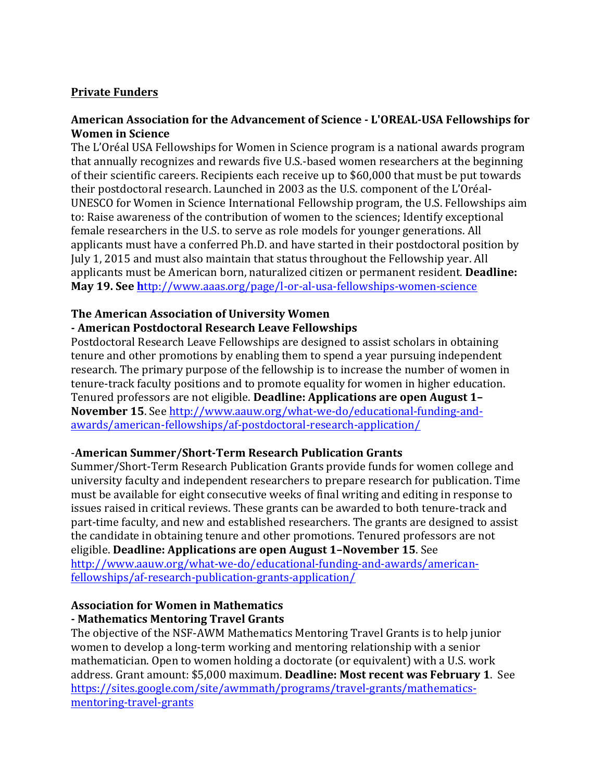# **Private Funders**

## American Association for the Advancement of Science - L'OREAL-USA Fellowships for **Women in Science**

The L'Oréal USA Fellowships for Women in Science program is a national awards program that annually recognizes and rewards five U.S.-based women researchers at the beginning of their scientific careers. Recipients each receive up to \$60,000 that must be put towards their postdoctoral research. Launched in 2003 as the U.S. component of the L'Oréal-UNESCO for Women in Science International Fellowship program, the U.S. Fellowships aim to: Raise awareness of the contribution of women to the sciences; Identify exceptional female researchers in the U.S. to serve as role models for younger generations. All applicants must have a conferred Ph.D. and have started in their postdoctoral position by July 1, 2015 and must also maintain that status throughout the Fellowship year. All applicants must be American born, naturalized citizen or permanent resident. **Deadline: May 19. See http://www.aaas.org/page/l-or-al-usa-fellowships-women-science** 

#### **The American Association of University Women**

## **- American Postdoctoral Research Leave Fellowships**

Postdoctoral Research Leave Fellowships are designed to assist scholars in obtaining tenure and other promotions by enabling them to spend a year pursuing independent research. The primary purpose of the fellowship is to increase the number of women in tenure-track faculty positions and to promote equality for women in higher education. Tenured professors are not eligible. **Deadline: Applications are open August 1-November 15.** See http://www.aauw.org/what-we-do/educational-funding-andawards/american-fellowships/af-postdoctoral-research-application/

#### **-American Summer/Short-Term Research Publication Grants**

Summer/Short-Term Research Publication Grants provide funds for women college and university faculty and independent researchers to prepare research for publication. Time must be available for eight consecutive weeks of final writing and editing in response to issues raised in critical reviews. These grants can be awarded to both tenure-track and part-time faculty, and new and established researchers. The grants are designed to assist the candidate in obtaining tenure and other promotions. Tenured professors are not eligible. **Deadline: Applications are open August 1-November 15**. See http://www.aauw.org/what-we-do/educational-funding-and-awards/americanfellowships/af-research-publication-grants-application/

#### **Association for Women in Mathematics - Mathematics Mentoring Travel Grants**

The objective of the NSF-AWM Mathematics Mentoring Travel Grants is to help junior women to develop a long-term working and mentoring relationship with a senior mathematician. Open to women holding a doctorate (or equivalent) with a U.S. work address. Grant amount: \$5,000 maximum. **Deadline: Most recent was February 1**. See https://sites.google.com/site/awmmath/programs/travel-grants/mathematicsmentoring-travel-grants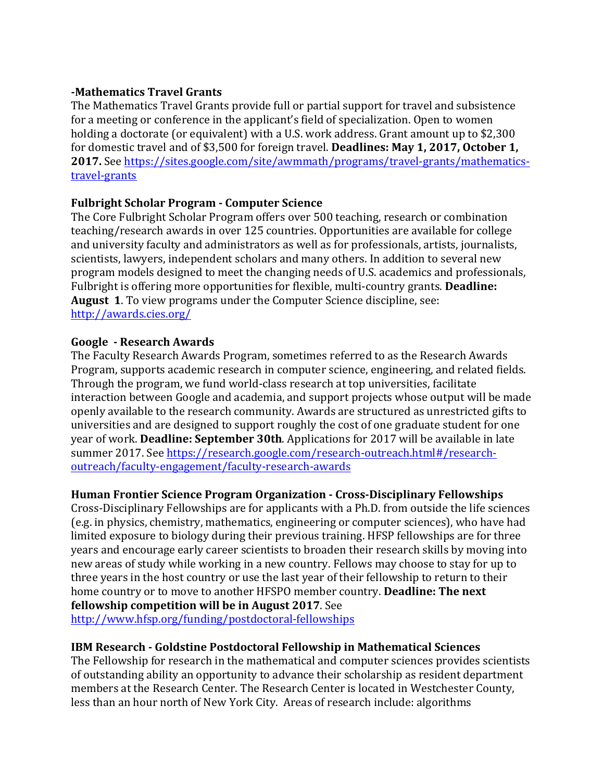## **-Mathematics Travel Grants**

The Mathematics Travel Grants provide full or partial support for travel and subsistence for a meeting or conference in the applicant's field of specialization. Open to women holding a doctorate (or equivalent) with a U.S. work address. Grant amount up to \$2,300 for domestic travel and of \$3,500 for foreign travel. **Deadlines: May 1, 2017, October 1, 2017.** See https://sites.google.com/site/awmmath/programs/travel-grants/mathematicstravel-grants

# **Fulbright Scholar Program - Computer Science**

The Core Fulbright Scholar Program offers over 500 teaching, research or combination teaching/research awards in over 125 countries. Opportunities are available for college and university faculty and administrators as well as for professionals, artists, journalists, scientists, lawyers, independent scholars and many others. In addition to several new program models designed to meet the changing needs of U.S. academics and professionals, Fulbright is offering more opportunities for flexible, multi-country grants. **Deadline: August 1.** To view programs under the Computer Science discipline, see: http://awards.cies.org/

#### **Google - Research Awards**

The Faculty Research Awards Program, sometimes referred to as the Research Awards Program, supports academic research in computer science, engineering, and related fields. Through the program, we fund world-class research at top universities, facilitate interaction between Google and academia, and support projects whose output will be made openly available to the research community. Awards are structured as unrestricted gifts to universities and are designed to support roughly the cost of one graduate student for one year of work. **Deadline: September 30th**. Applications for 2017 will be available in late summer 2017. See https://research.google.com/research-outreach.html#/researchoutreach/faculty-engagement/faculty-research-awards

## **Human Frontier Science Program Organization - Cross-Disciplinary Fellowships**

Cross-Disciplinary Fellowships are for applicants with a Ph.D. from outside the life sciences (e.g. in physics, chemistry, mathematics, engineering or computer sciences), who have had limited exposure to biology during their previous training. HFSP fellowships are for three years and encourage early career scientists to broaden their research skills by moving into new areas of study while working in a new country. Fellows may choose to stay for up to three years in the host country or use the last year of their fellowship to return to their home country or to move to another HFSPO member country. **Deadline: The next fellowship competition will be in August 2017**. See

http://www.hfsp.org/funding/postdoctoral-fellowships

# **IBM Research - Goldstine Postdoctoral Fellowship in Mathematical Sciences**

The Fellowship for research in the mathematical and computer sciences provides scientists of outstanding ability an opportunity to advance their scholarship as resident department members at the Research Center. The Research Center is located in Westchester County, less than an hour north of New York City. Areas of research include: algorithms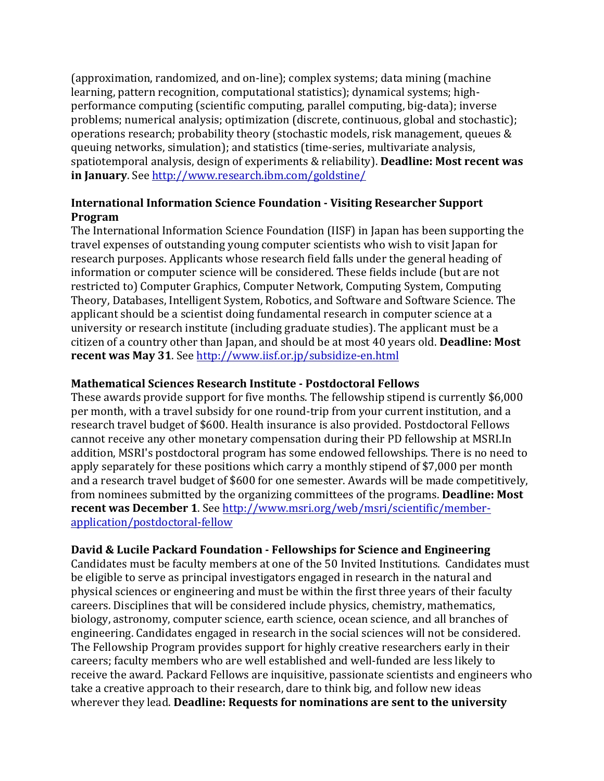(approximation, randomized, and on-line); complex systems; data mining (machine learning, pattern recognition, computational statistics); dynamical systems; highperformance computing (scientific computing, parallel computing, big-data); inverse problems; numerical analysis; optimization (discrete, continuous, global and stochastic); operations research; probability theory (stochastic models, risk management, queues  $&$ queuing networks, simulation); and statistics (time-series, multivariate analysis, spatiotemporal analysis, design of experiments & reliability). **Deadline: Most recent was in January**. See http://www.research.ibm.com/goldstine/

# **International Information Science Foundation - Visiting Researcher Support Program**

The International Information Science Foundation (IISF) in Japan has been supporting the travel expenses of outstanding young computer scientists who wish to visit Japan for research purposes. Applicants whose research field falls under the general heading of information or computer science will be considered. These fields include (but are not restricted to) Computer Graphics, Computer Network, Computing System, Computing Theory, Databases, Intelligent System, Robotics, and Software and Software Science. The applicant should be a scientist doing fundamental research in computer science at a university or research institute (including graduate studies). The applicant must be a citizen of a country other than Japan, and should be at most 40 years old. **Deadline: Most recent was May 31**. See http://www.iisf.or.jp/subsidize-en.html

## **Mathematical Sciences Research Institute - Postdoctoral Fellows**

These awards provide support for five months. The fellowship stipend is currently \$6,000 per month, with a travel subsidy for one round-trip from your current institution, and a research travel budget of \$600. Health insurance is also provided. Postdoctoral Fellows cannot receive any other monetary compensation during their PD fellowship at MSRI.In addition, MSRI's postdoctoral program has some endowed fellowships. There is no need to apply separately for these positions which carry a monthly stipend of \$7,000 per month and a research travel budget of \$600 for one semester. Awards will be made competitively, from nominees submitted by the organizing committees of the programs. **Deadline: Most recent was December 1**. See http://www.msri.org/web/msri/scientific/memberapplication/postdoctoral-fellow

# **David & Lucile Packard Foundation - Fellowships for Science and Engineering**

Candidates must be faculty members at one of the 50 Invited Institutions. Candidates must be eligible to serve as principal investigators engaged in research in the natural and physical sciences or engineering and must be within the first three years of their faculty careers. Disciplines that will be considered include physics, chemistry, mathematics, biology, astronomy, computer science, earth science, ocean science, and all branches of engineering. Candidates engaged in research in the social sciences will not be considered. The Fellowship Program provides support for highly creative researchers early in their careers; faculty members who are well established and well-funded are less likely to receive the award. Packard Fellows are inquisitive, passionate scientists and engineers who take a creative approach to their research, dare to think big, and follow new ideas wherever they lead. **Deadline: Requests for nominations are sent to the university**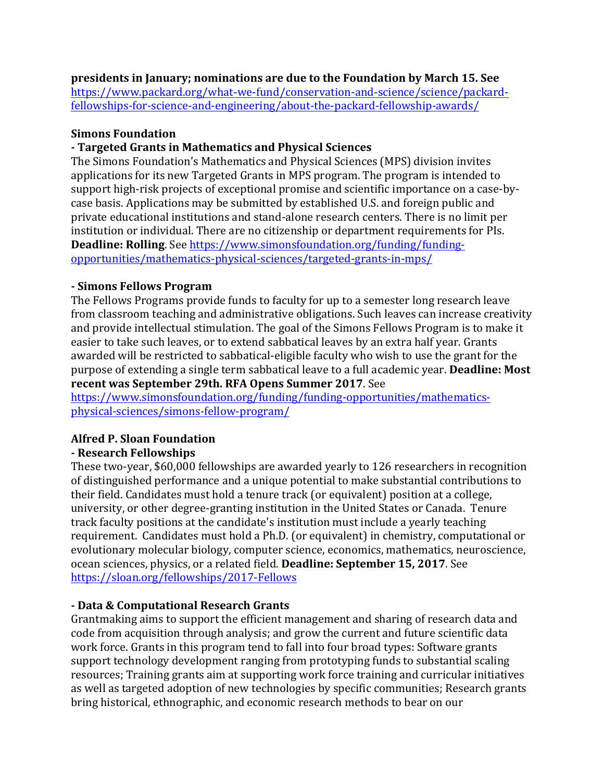**presidents in January; nominations are due to the Foundation by March 15. See** 

https://www.packard.org/what-we-fund/conservation-and-science/science/packardfellowships-for-science-and-engineering/about-the-packard-fellowship-awards/

### **Simons Foundation**

## **- Targeted Grants in Mathematics and Physical Sciences**

The Simons Foundation's Mathematics and Physical Sciences (MPS) division invites applications for its new Targeted Grants in MPS program. The program is intended to support high-risk projects of exceptional promise and scientific importance on a case-bycase basis. Applications may be submitted by established U.S. and foreign public and private educational institutions and stand-alone research centers. There is no limit per institution or individual. There are no citizenship or department requirements for PIs. **Deadline: Rolling**. See https://www.simonsfoundation.org/funding/fundingopportunities/mathematics-physical-sciences/targeted-grants-in-mps/

## **- Simons Fellows Program**

The Fellows Programs provide funds to faculty for up to a semester long research leave from classroom teaching and administrative obligations. Such leaves can increase creativity and provide intellectual stimulation. The goal of the Simons Fellows Program is to make it easier to take such leaves, or to extend sabbatical leaves by an extra half year. Grants awarded will be restricted to sabbatical-eligible faculty who wish to use the grant for the purpose of extending a single term sabbatical leave to a full academic year. **Deadline: Most recent was September 29th. RFA Opens Summer 2017.** See

https://www.simonsfoundation.org/funding/funding-opportunities/mathematicsphysical-sciences/simons-fellow-program/

# **Alfred P. Sloan Foundation**

## **- Research Fellowships**

These two-year, \$60,000 fellowships are awarded yearly to 126 researchers in recognition of distinguished performance and a unique potential to make substantial contributions to their field. Candidates must hold a tenure track (or equivalent) position at a college, university, or other degree-granting institution in the United States or Canada. Tenure track faculty positions at the candidate's institution must include a yearly teaching requirement. Candidates must hold a Ph.D. (or equivalent) in chemistry, computational or evolutionary molecular biology, computer science, economics, mathematics, neuroscience, ocean sciences, physics, or a related field. Deadline: September 15, 2017. See https://sloan.org/fellowships/2017-Fellows

## **- Data & Computational Research Grants**

Grantmaking aims to support the efficient management and sharing of research data and code from acquisition through analysis; and grow the current and future scientific data work force. Grants in this program tend to fall into four broad types: Software grants support technology development ranging from prototyping funds to substantial scaling resources; Training grants aim at supporting work force training and curricular initiatives as well as targeted adoption of new technologies by specific communities; Research grants bring historical, ethnographic, and economic research methods to bear on our